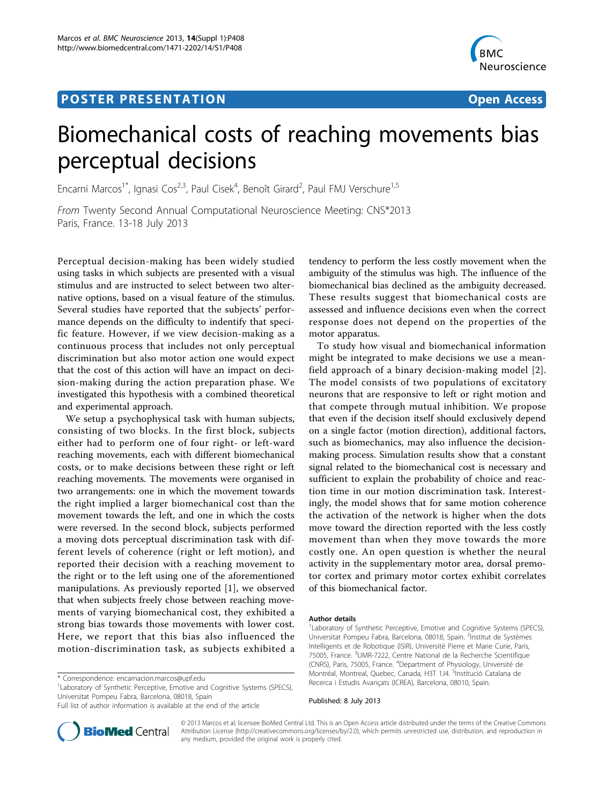## **POSTER PRESENTATION CONSUMING ACCESS**



# Biomechanical costs of reaching movements bias perceptual decisions

Encarni Marcos<sup>1\*</sup>, Ignasi Cos<sup>2,3</sup>, Paul Cisek<sup>4</sup>, Benoît Girard<sup>2</sup>, Paul FMJ Verschure<sup>1,5</sup>

From Twenty Second Annual Computational Neuroscience Meeting: CNS\*2013 Paris, France. 13-18 July 2013

Perceptual decision-making has been widely studied using tasks in which subjects are presented with a visual stimulus and are instructed to select between two alternative options, based on a visual feature of the stimulus. Several studies have reported that the subjects' performance depends on the difficulty to indentify that specific feature. However, if we view decision-making as a continuous process that includes not only perceptual discrimination but also motor action one would expect that the cost of this action will have an impact on decision-making during the action preparation phase. We investigated this hypothesis with a combined theoretical and experimental approach.

We setup a psychophysical task with human subjects, consisting of two blocks. In the first block, subjects either had to perform one of four right- or left-ward reaching movements, each with different biomechanical costs, or to make decisions between these right or left reaching movements. The movements were organised in two arrangements: one in which the movement towards the right implied a larger biomechanical cost than the movement towards the left, and one in which the costs were reversed. In the second block, subjects performed a moving dots perceptual discrimination task with different levels of coherence (right or left motion), and reported their decision with a reaching movement to the right or to the left using one of the aforementioned manipulations. As previously reported [[1\]](#page-1-0), we observed that when subjects freely chose between reaching movements of varying biomechanical cost, they exhibited a strong bias towards those movements with lower cost. Here, we report that this bias also influenced the motion-discrimination task, as subjects exhibited a

<sup>1</sup>Laboratory of Synthetic Perceptive, Emotive and Cognitive Systems (SPECS), Universitat Pompeu Fabra, Barcelona, 08018, Spain

tendency to perform the less costly movement when the ambiguity of the stimulus was high. The influence of the biomechanical bias declined as the ambiguity decreased. These results suggest that biomechanical costs are assessed and influence decisions even when the correct response does not depend on the properties of the motor apparatus.

To study how visual and biomechanical information might be integrated to make decisions we use a meanfield approach of a binary decision-making model [[2](#page-1-0)]. The model consists of two populations of excitatory neurons that are responsive to left or right motion and that compete through mutual inhibition. We propose that even if the decision itself should exclusively depend on a single factor (motion direction), additional factors, such as biomechanics, may also influence the decisionmaking process. Simulation results show that a constant signal related to the biomechanical cost is necessary and sufficient to explain the probability of choice and reaction time in our motion discrimination task. Interestingly, the model shows that for same motion coherence the activation of the network is higher when the dots move toward the direction reported with the less costly movement than when they move towards the more costly one. An open question is whether the neural activity in the supplementary motor area, dorsal premotor cortex and primary motor cortex exhibit correlates of this biomechanical factor.

#### Author details

<sup>1</sup>Laboratory of Synthetic Perceptive, Emotive and Cognitive Systems (SPECS), Universitat Pompeu Fabra, Barcelona, 08018, Spain. <sup>2</sup>Institut de Systèmes Intelligents et de Robotique (ISIR), Université Pierre et Marie Curie, Paris, 75005, France. <sup>3</sup>UMR-7222, Centre National de la Recherche Scientifique (CNRS), Paris, 75005, France. <sup>4</sup> Department of Physiology, Université de Montréal, Montreal, Quebec, Canada, H3T 1J4. <sup>5</sup>Institució Catalana de Recerca i Estudis Avançats (ICREA), Barcelona, 08010, Spain.

Published: 8 July 2013



© 2013 Marcos et al; licensee BioMed Central Ltd. This is an Open Access article distributed under the terms of the Creative Commons Attribution License [\(http://creativecommons.org/licenses/by/2.0](http://creativecommons.org/licenses/by/2.0)), which permits unrestricted use, distribution, and reproduction in any medium, provided the original work is properly cited.

<sup>\*</sup> Correspondence: [encarnacion.marcos@upf.edu](mailto:encarnacion.marcos@upf.edu)

Full list of author information is available at the end of the article